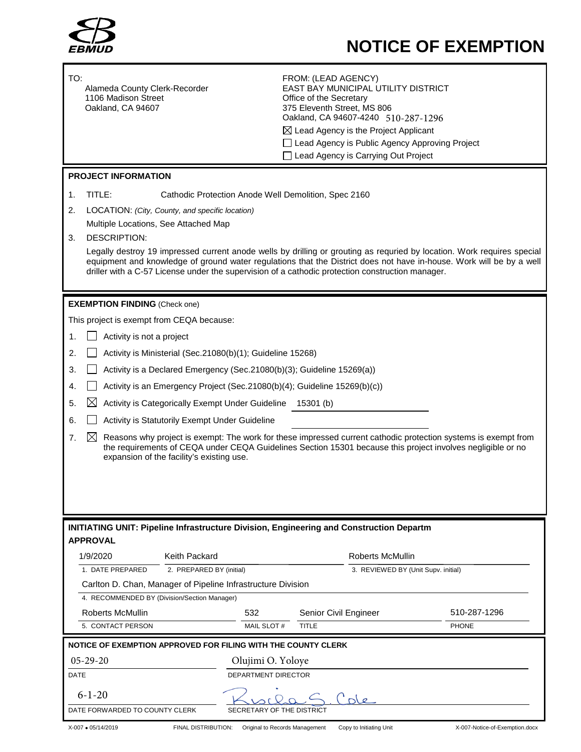

# **NOTICE OF EXEMPTION**

| TO:<br>Alameda County Clerk-Recorder<br>1106 Madison Street<br>Oakland, CA 94607                                                                                                                                                                                                                                                                    | FROM: (LEAD AGENCY)<br><b>EAST BAY MUNICIPAL UTILITY DISTRICT</b><br>Office of the Secretary<br>375 Eleventh Street, MS 806<br>Oakland, CA 94607-4240 510-287-1296<br>$\boxtimes$ Lead Agency is the Project Applicant<br>□ Lead Agency is Public Agency Approving Project<br>□ Lead Agency is Carrying Out Project |                                |
|-----------------------------------------------------------------------------------------------------------------------------------------------------------------------------------------------------------------------------------------------------------------------------------------------------------------------------------------------------|---------------------------------------------------------------------------------------------------------------------------------------------------------------------------------------------------------------------------------------------------------------------------------------------------------------------|--------------------------------|
| <b>PROJECT INFORMATION</b>                                                                                                                                                                                                                                                                                                                          |                                                                                                                                                                                                                                                                                                                     |                                |
| TITLE:<br>Cathodic Protection Anode Well Demolition, Spec 2160<br>1.                                                                                                                                                                                                                                                                                |                                                                                                                                                                                                                                                                                                                     |                                |
| LOCATION: (City, County, and specific location)<br>2.                                                                                                                                                                                                                                                                                               |                                                                                                                                                                                                                                                                                                                     |                                |
| Multiple Locations, See Attached Map                                                                                                                                                                                                                                                                                                                |                                                                                                                                                                                                                                                                                                                     |                                |
| <b>DESCRIPTION:</b><br>3.                                                                                                                                                                                                                                                                                                                           |                                                                                                                                                                                                                                                                                                                     |                                |
| Legally destroy 19 impressed current anode wells by drilling or grouting as requried by location. Work requires special<br>equipment and knowledge of ground water regulations that the District does not have in-house. Work will be by a well<br>driller with a C-57 License under the supervision of a cathodic protection construction manager. |                                                                                                                                                                                                                                                                                                                     |                                |
| <b>EXEMPTION FINDING (Check one)</b>                                                                                                                                                                                                                                                                                                                |                                                                                                                                                                                                                                                                                                                     |                                |
| This project is exempt from CEQA because:                                                                                                                                                                                                                                                                                                           |                                                                                                                                                                                                                                                                                                                     |                                |
| Activity is not a project<br>1.                                                                                                                                                                                                                                                                                                                     |                                                                                                                                                                                                                                                                                                                     |                                |
| Activity is Ministerial (Sec.21080(b)(1); Guideline 15268)<br>2.                                                                                                                                                                                                                                                                                    |                                                                                                                                                                                                                                                                                                                     |                                |
| Activity is a Declared Emergency (Sec.21080(b)(3); Guideline 15269(a))<br>3.                                                                                                                                                                                                                                                                        |                                                                                                                                                                                                                                                                                                                     |                                |
| Activity is an Emergency Project (Sec.21080(b)(4); Guideline 15269(b)(c))<br>4.                                                                                                                                                                                                                                                                     |                                                                                                                                                                                                                                                                                                                     |                                |
| $\bowtie$<br>Activity is Categorically Exempt Under Guideline 15301 (b)<br>5.                                                                                                                                                                                                                                                                       |                                                                                                                                                                                                                                                                                                                     |                                |
| Activity is Statutorily Exempt Under Guideline<br>6.                                                                                                                                                                                                                                                                                                |                                                                                                                                                                                                                                                                                                                     |                                |
| Reasons why project is exempt: The work for these impressed current cathodic protection systems is exempt from<br>7.<br>$\boxtimes$<br>the requirements of CEQA under CEQA Guidelines Section 15301 because this project involves negligible or no<br>expansion of the facility's existing use.                                                     |                                                                                                                                                                                                                                                                                                                     |                                |
| <b>INITIATING UNIT: Pipeline Infrastructure Division, Engineering and Construction Departm</b><br><b>APPROVAL</b>                                                                                                                                                                                                                                   |                                                                                                                                                                                                                                                                                                                     |                                |
| 1/9/2020<br>Keith Packard                                                                                                                                                                                                                                                                                                                           | Roberts McMullin                                                                                                                                                                                                                                                                                                    |                                |
| 1. DATE PREPARED<br>2. PREPARED BY (initial)                                                                                                                                                                                                                                                                                                        | 3. REVIEWED BY (Unit Supv. initial)                                                                                                                                                                                                                                                                                 |                                |
| Carlton D. Chan, Manager of Pipeline Infrastructure Division                                                                                                                                                                                                                                                                                        |                                                                                                                                                                                                                                                                                                                     |                                |
| 4. RECOMMENDED BY (Division/Section Manager)                                                                                                                                                                                                                                                                                                        |                                                                                                                                                                                                                                                                                                                     |                                |
| <b>Roberts McMullin</b><br>532                                                                                                                                                                                                                                                                                                                      | Senior Civil Engineer                                                                                                                                                                                                                                                                                               | 510-287-1296                   |
| 5. CONTACT PERSON                                                                                                                                                                                                                                                                                                                                   | MAIL SLOT #<br><b>TITLE</b>                                                                                                                                                                                                                                                                                         | <b>PHONE</b>                   |
| NOTICE OF EXEMPTION APPROVED FOR FILING WITH THE COUNTY CLERK                                                                                                                                                                                                                                                                                       |                                                                                                                                                                                                                                                                                                                     |                                |
| $05 - 29 - 20$                                                                                                                                                                                                                                                                                                                                      | Olujimi O. Yoloye                                                                                                                                                                                                                                                                                                   |                                |
| DATE<br>DEPARTMENT DIRECTOR                                                                                                                                                                                                                                                                                                                         |                                                                                                                                                                                                                                                                                                                     |                                |
| $6 - 1 - 20$                                                                                                                                                                                                                                                                                                                                        |                                                                                                                                                                                                                                                                                                                     |                                |
| DATE FORWARDED TO COUNTY CLERK<br>SECRETARY OF THE DISTRICT                                                                                                                                                                                                                                                                                         |                                                                                                                                                                                                                                                                                                                     |                                |
| X-007 • 05/14/2019<br>FINAL DISTRIBUTION:                                                                                                                                                                                                                                                                                                           | Original to Records Management<br>Copy to Initiating Unit                                                                                                                                                                                                                                                           | X-007-Notice-of-Exemption.docx |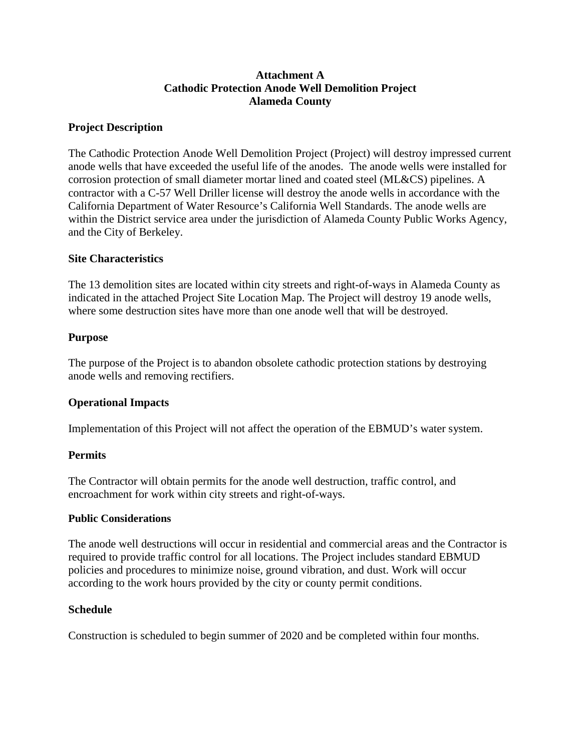## **Attachment A Cathodic Protection Anode Well Demolition Project Alameda County**

## **Project Description**

The Cathodic Protection Anode Well Demolition Project (Project) will destroy impressed current anode wells that have exceeded the useful life of the anodes. The anode wells were installed for corrosion protection of small diameter mortar lined and coated steel (ML&CS) pipelines. A contractor with a C-57 Well Driller license will destroy the anode wells in accordance with the California Department of Water Resource's California Well Standards. The anode wells are within the District service area under the jurisdiction of Alameda County Public Works Agency, and the City of Berkeley.

## **Site Characteristics**

The 13 demolition sites are located within city streets and right-of-ways in Alameda County as indicated in the attached Project Site Location Map. The Project will destroy 19 anode wells, where some destruction sites have more than one anode well that will be destroyed.

### **Purpose**

The purpose of the Project is to abandon obsolete cathodic protection stations by destroying anode wells and removing rectifiers.

## **Operational Impacts**

Implementation of this Project will not affect the operation of the EBMUD's water system.

## **Permits**

The Contractor will obtain permits for the anode well destruction, traffic control, and encroachment for work within city streets and right-of-ways.

#### **Public Considerations**

The anode well destructions will occur in residential and commercial areas and the Contractor is required to provide traffic control for all locations. The Project includes standard EBMUD policies and procedures to minimize noise, ground vibration, and dust. Work will occur according to the work hours provided by the city or county permit conditions.

## **Schedule**

Construction is scheduled to begin summer of 2020 and be completed within four months.